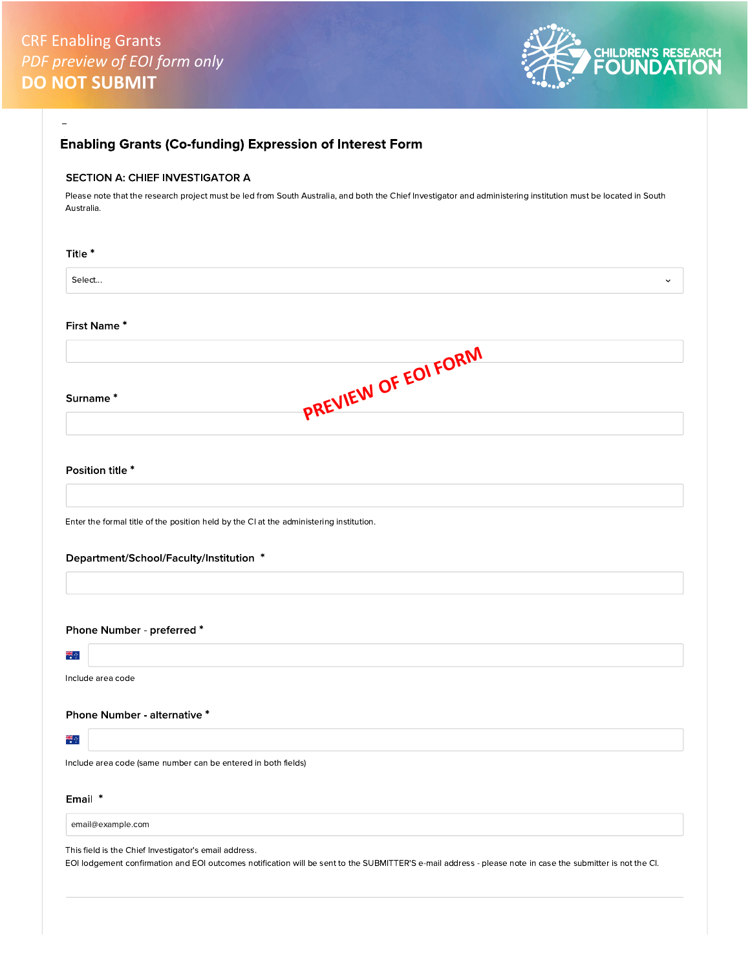

| SECTION A: CHIEF INVESTIGATOR A                               |                                                                                                                                                                |
|---------------------------------------------------------------|----------------------------------------------------------------------------------------------------------------------------------------------------------------|
| Australia.                                                    | Please note that the research project must be led from South Australia, and both the Chief Investigator and administering institution must be located in South |
| Title *                                                       |                                                                                                                                                                |
| Select                                                        | $\checkmark$                                                                                                                                                   |
| First Name*                                                   |                                                                                                                                                                |
|                                                               |                                                                                                                                                                |
| Surname*                                                      | PREVIEW OF EOI FORM                                                                                                                                            |
|                                                               |                                                                                                                                                                |
| Position title *                                              |                                                                                                                                                                |
|                                                               | Enter the formal title of the position held by the CI at the administering institution.                                                                        |
| Department/School/Faculty/Institution *                       |                                                                                                                                                                |
|                                                               |                                                                                                                                                                |
| Phone Number - preferred *                                    |                                                                                                                                                                |
| 해.<br>이후                                                      |                                                                                                                                                                |
| Include area code                                             |                                                                                                                                                                |
| Phone Number - alternative *                                  |                                                                                                                                                                |
| ale<br>He                                                     |                                                                                                                                                                |
| Include area code (same number can be entered in both fields) |                                                                                                                                                                |
| Email *                                                       |                                                                                                                                                                |
|                                                               |                                                                                                                                                                |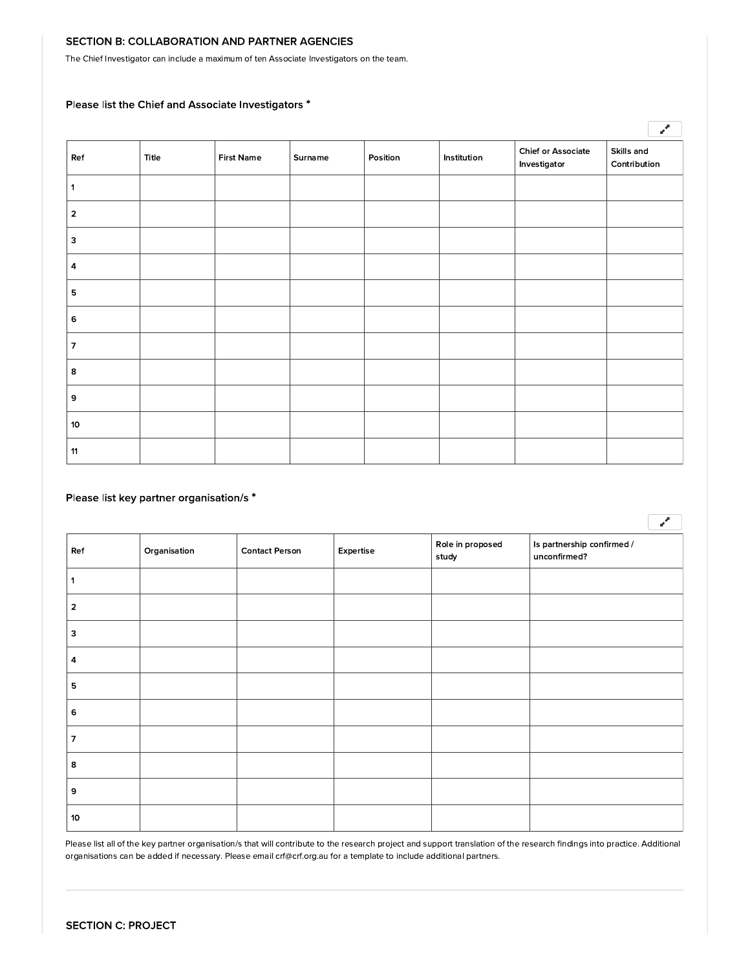## SECTION B: COLLABORATION AND PARTNER AGENCIES

The Chief Investigator can include a maximum of ten Associate Investigators on the team.

# Please list the Chief and Associate Investigators \*

|                           |       |                   |         |          |             |                                           | $\mathbf{z}^{\prime}$      |
|---------------------------|-------|-------------------|---------|----------|-------------|-------------------------------------------|----------------------------|
| Ref                       | Title | <b>First Name</b> | Surname | Position | Institution | <b>Chief or Associate</b><br>Investigator | Skills and<br>Contribution |
|                           |       |                   |         |          |             |                                           |                            |
| $\overline{2}$            |       |                   |         |          |             |                                           |                            |
| $\ensuremath{\mathsf{3}}$ |       |                   |         |          |             |                                           |                            |
| 4                         |       |                   |         |          |             |                                           |                            |
| 5                         |       |                   |         |          |             |                                           |                            |
| 6                         |       |                   |         |          |             |                                           |                            |
| $\overline{7}$            |       |                   |         |          |             |                                           |                            |
| 8                         |       |                   |         |          |             |                                           |                            |
| 9                         |       |                   |         |          |             |                                           |                            |
| 10                        |       |                   |         |          |             |                                           |                            |
| 11                        |       |                   |         |          |             |                                           |                            |

# Please list key partner organisation/s \*

| Ref            | Organisation | <b>Contact Person</b> | Expertise | Role in proposed<br>study | Is partnership confirmed /<br>unconfirmed? |
|----------------|--------------|-----------------------|-----------|---------------------------|--------------------------------------------|
| 1              |              |                       |           |                           |                                            |
| $\mathbf 2$    |              |                       |           |                           |                                            |
| 3              |              |                       |           |                           |                                            |
| 4              |              |                       |           |                           |                                            |
| ${\bf 5}$      |              |                       |           |                           |                                            |
| 6              |              |                       |           |                           |                                            |
| $\overline{7}$ |              |                       |           |                           |                                            |
| 8              |              |                       |           |                           |                                            |
| 9              |              |                       |           |                           |                                            |
| 10             |              |                       |           |                           |                                            |

 $\sqrt{2}$ 

Please list all of the key partner organisation/s that will contribute to the research project and support translation of the research findings into practice. Additional organisations can be added if necessary. Please email crf@crf.org.au for a template to include additional partners.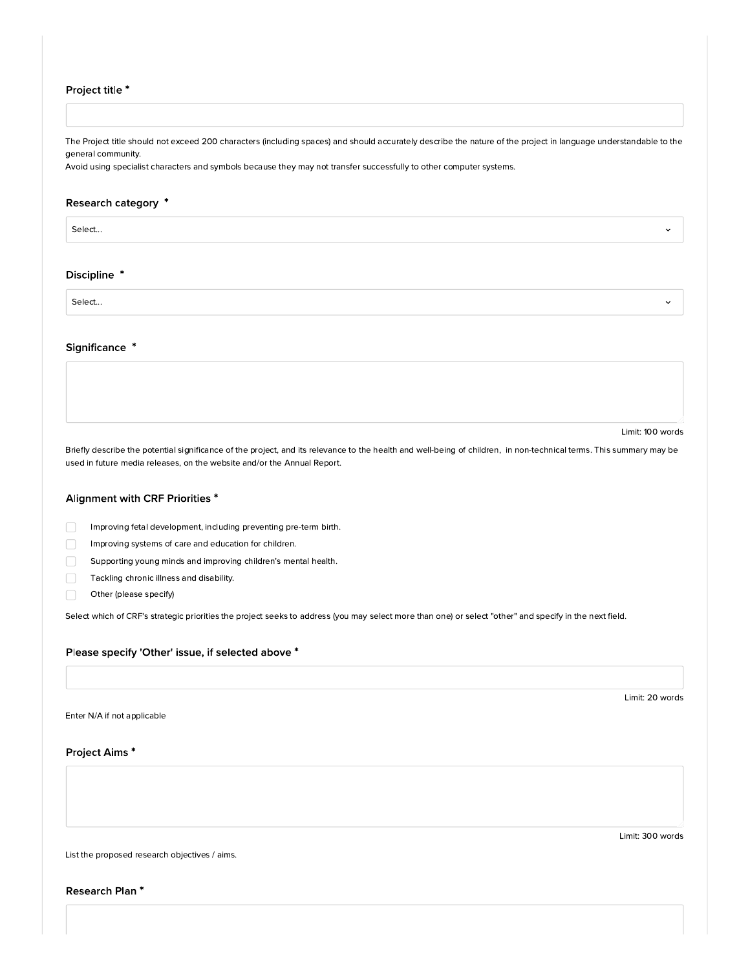## Project title \*

The Project title should not exceed 200 characters (including spaces) and should accurately describe the nature of the project in language understandable to the general community.

Avoid using specialist characters and symbols because they may not transfer successfully to other computer systems.

## Research category \*

Select...

#### Discipline \*

Select...

## Significance \*

Limit: 100 words

Briefly describe the potential significance of the project, and its relevance to the health and well-being of children, in non-technical terms. This summary may be used in future media releases, on the website and/or the Annual Report.

## Alignment with CRF Priorities \*

 $\Box$ Improving fetal development, including preventing pre-term birth.

- Improving systems of care and education for children.  $\Box$
- Supporting young minds and improving children's mental health.  $\Box$
- Tackling chronic illness and disability.
- Other (please specify)

Select which of CRF's strategic priorities the project seeks to address (you may select more than one) or select "other" and specify in the next field.

#### Please specify 'Other' issue, if selected above \*

Enter N/A if not applicable

Project Aims\*

Limit: 300 words

Limit: 20 words

List the proposed research objectives / aims.

Research Plan\*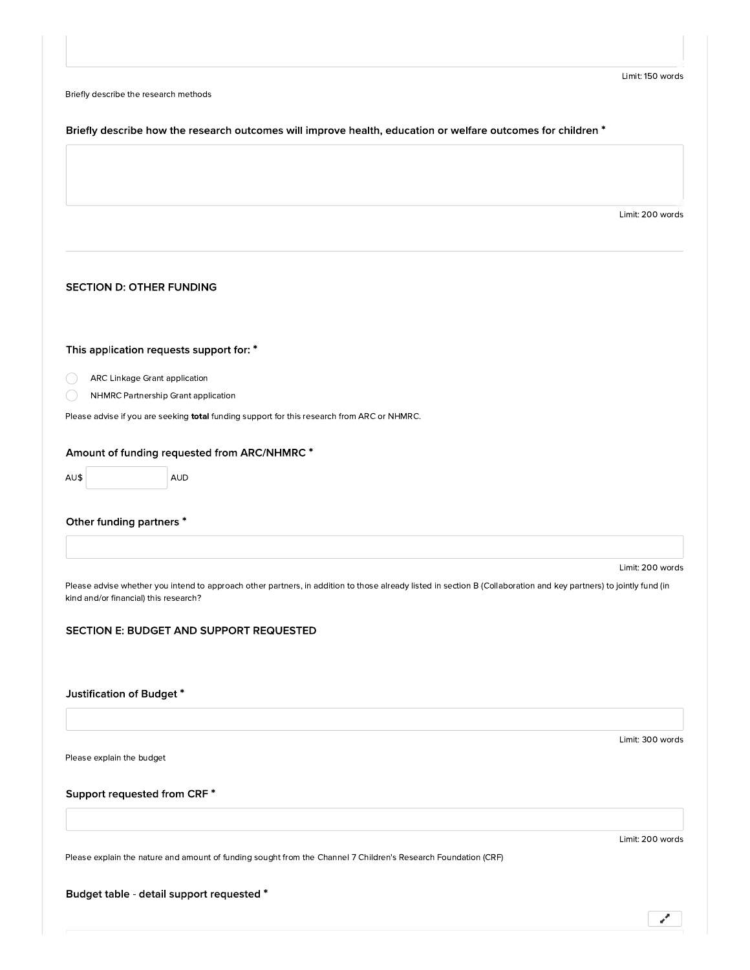|  | Briefly describe the research methods |  |  |
|--|---------------------------------------|--|--|
|--|---------------------------------------|--|--|

## Briefly describe how the research outcomes will improve health, education or welfare outcomes for children \*

Limit: 200 words

## **SECTION D: OTHER FUNDING**

# This application requests support for: \*

- ARC Linkage Grant application ◯
	- NHMRC Partnership Grant application

Please advise if you are seeking total funding support for this research from ARC or NHMRC.

### Amount of funding requested from ARC/NHMRC \*

AU\$ **AUD** 

## Other funding partners \*

Limit: 200 words

Please advise whether you intend to approach other partners, in addition to those already listed in section B (Collaboration and key partners) to jointly fund (in kind and/or financial) this research?

## SECTION E: BUDGET AND SUPPORT REQUESTED

# Justification of Budget\*

Please explain the budget

## Support requested from CRF \*

Limit: 200 words

فتحمد

Limit: 300 words

Please explain the nature and amount of funding sought from the Channel 7 Children's Research Foundation (CRF)

Budget table - detail support requested \*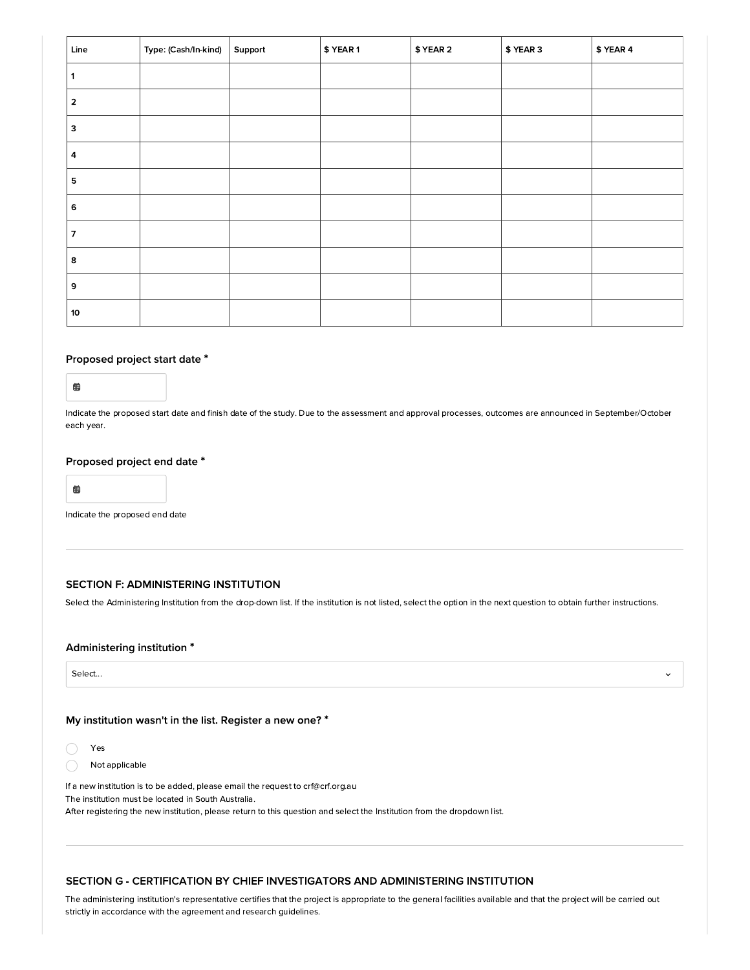| Line                    | Type: (Cash/In-kind) | Support | \$ YEAR 1 | \$ YEAR 2 | \$ YEAR 3 | \$ YEAR 4 |
|-------------------------|----------------------|---------|-----------|-----------|-----------|-----------|
| 1                       |                      |         |           |           |           |           |
| $\overline{\mathbf{2}}$ |                      |         |           |           |           |           |
| з                       |                      |         |           |           |           |           |
| 4                       |                      |         |           |           |           |           |
| 5                       |                      |         |           |           |           |           |
| 6                       |                      |         |           |           |           |           |
| 7                       |                      |         |           |           |           |           |
| 8                       |                      |         |           |           |           |           |
| 9                       |                      |         |           |           |           |           |
| 10                      |                      |         |           |           |           |           |

# Proposed project start date \*

 $\qquad \qquad \blacksquare$ 

Indicate the proposed start date and finish date of the study. Due to the assessment and approval processes, outcomes are announced in September/October each year.

### Proposed project end date \*

 $\qquad \qquad \blacksquare$ 

Indicate the proposed end date

## SECTION F: ADMINISTERING INSTITUTION

Select the Administering Institution from the drop-down list. If the institution is not listed, select the option in the next question to obtain further instructions.

 $\ddot{\phantom{0}}$ 

## Administering institution \*

Select...

## My institution wasn't in the list. Register a new one? \*

Yes

Not applicable  $\bigcirc$ 

If a new institution is to be added, please email the request to crf@crf.org.au The institution must be located in South Australia. After registering the new institution, please return to this question and select the Institution from the dropdown list.

## SECTION G - CERTIFICATION BY CHIEF INVESTIGATORS AND ADMINISTERING INSTITUTION

The administering institution's representative certifies that the project is appropriate to the general facilities available and that the project will be carried out strictly in accordance with the agreement and research guidelines.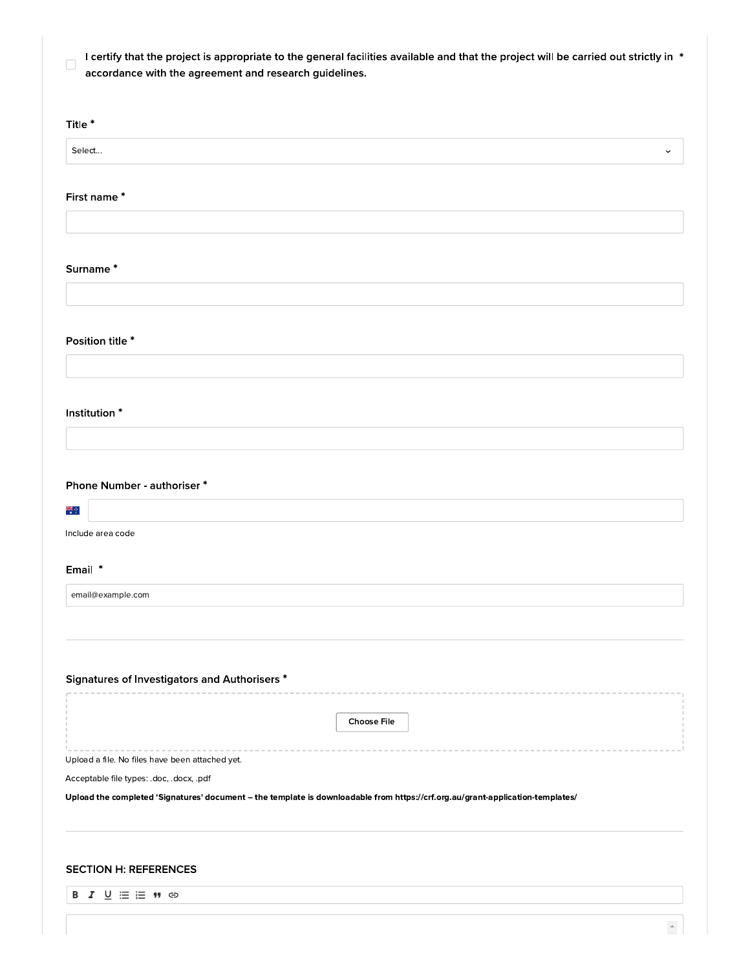| I certify that the project is appropriate to the general facilities available and that the project will be carried out strictly in * |
|--------------------------------------------------------------------------------------------------------------------------------------|
| accordance with the agreement and research quidelines.                                                                               |

| Title <sup>*</sup>                                                                                                                                                         |
|----------------------------------------------------------------------------------------------------------------------------------------------------------------------------|
|                                                                                                                                                                            |
| Select<br>$\check{ }$                                                                                                                                                      |
|                                                                                                                                                                            |
| First name*                                                                                                                                                                |
|                                                                                                                                                                            |
|                                                                                                                                                                            |
| Surname*                                                                                                                                                                   |
|                                                                                                                                                                            |
|                                                                                                                                                                            |
|                                                                                                                                                                            |
| Position title *                                                                                                                                                           |
|                                                                                                                                                                            |
|                                                                                                                                                                            |
|                                                                                                                                                                            |
| Institution <sup>*</sup>                                                                                                                                                   |
|                                                                                                                                                                            |
|                                                                                                                                                                            |
| Phone Number - authoriser *                                                                                                                                                |
| ्<br>संद                                                                                                                                                                   |
|                                                                                                                                                                            |
| Include area code                                                                                                                                                          |
| Email *                                                                                                                                                                    |
|                                                                                                                                                                            |
| email@example.com                                                                                                                                                          |
|                                                                                                                                                                            |
|                                                                                                                                                                            |
|                                                                                                                                                                            |
| Signatures of Investigators and Authorisers *                                                                                                                              |
|                                                                                                                                                                            |
| <b>Choose File</b>                                                                                                                                                         |
|                                                                                                                                                                            |
| Upload a file. No files have been attached yet.                                                                                                                            |
| Acceptable file types: .doc, .docx, .pdf<br>Upload the completed 'Signatures' document - the template is downloadable from https://crf.org.au/grant-application-templates/ |
|                                                                                                                                                                            |
|                                                                                                                                                                            |
|                                                                                                                                                                            |
| <b>SECTION H: REFERENCES</b>                                                                                                                                               |
| <b>B</b> <i>I</i> <u>U</u> : <b>E !!</b> ⊕                                                                                                                                 |